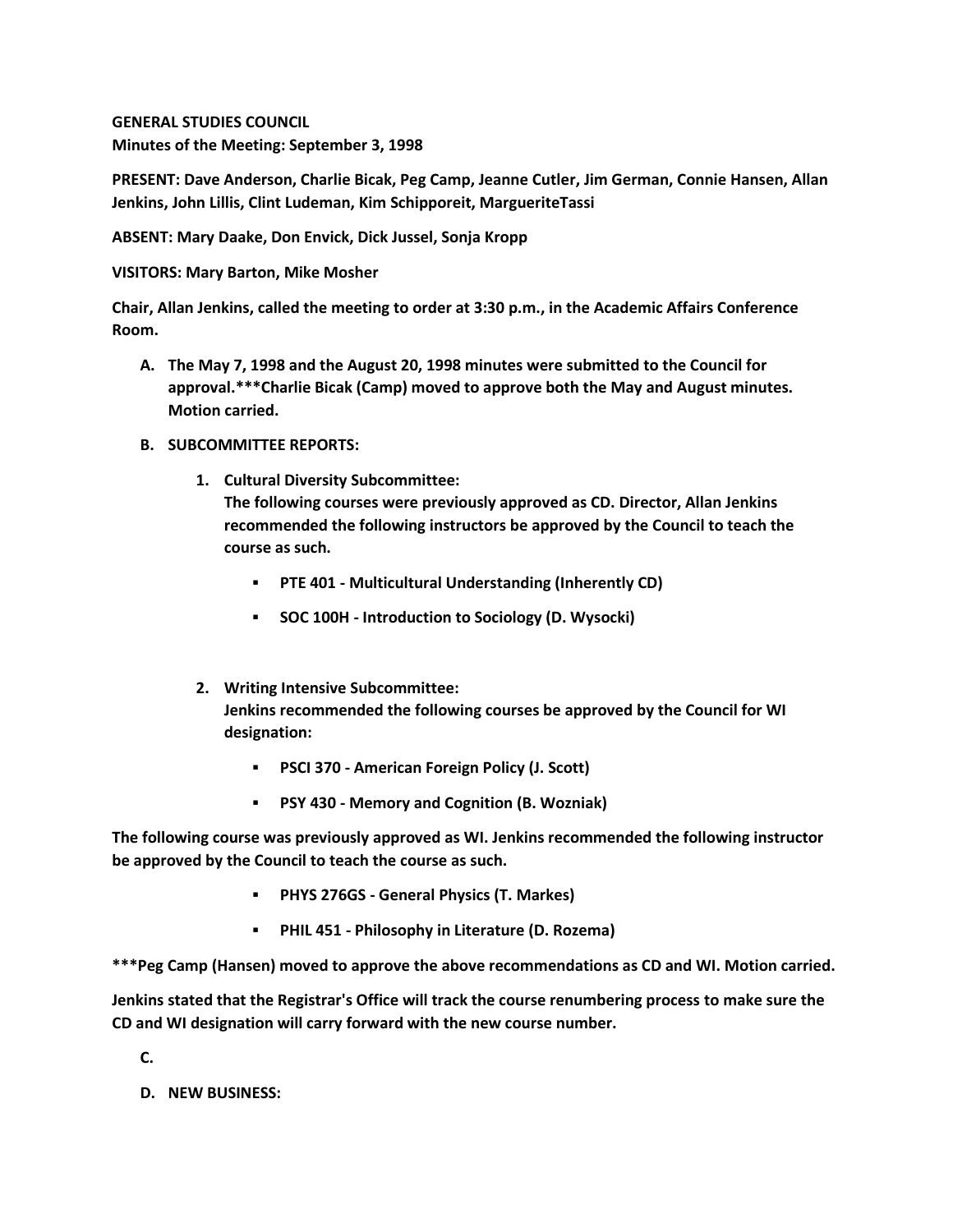**GENERAL STUDIES COUNCIL Minutes of the Meeting: September 3, 1998**

**PRESENT: Dave Anderson, Charlie Bicak, Peg Camp, Jeanne Cutler, Jim German, Connie Hansen, Allan Jenkins, John Lillis, Clint Ludeman, Kim Schipporeit, MargueriteTassi**

**ABSENT: Mary Daake, Don Envick, Dick Jussel, Sonja Kropp**

**VISITORS: Mary Barton, Mike Mosher**

**Chair, Allan Jenkins, called the meeting to order at 3:30 p.m., in the Academic Affairs Conference Room.**

- **A. The May 7, 1998 and the August 20, 1998 minutes were submitted to the Council for approval.\*\*\*Charlie Bicak (Camp) moved to approve both the May and August minutes. Motion carried.**
- **B. SUBCOMMITTEE REPORTS:**
	- **1. Cultural Diversity Subcommittee: The following courses were previously approved as CD. Director, Allan Jenkins recommended the following instructors be approved by the Council to teach the course as such.**
		- **PTE 401 - Multicultural Understanding (Inherently CD)**
		- **SOC 100H - Introduction to Sociology (D. Wysocki)**
	- **2. Writing Intensive Subcommittee: Jenkins recommended the following courses be approved by the Council for WI designation:** 
		- **PSCI 370 - American Foreign Policy (J. Scott)**
		- **PSY 430 - Memory and Cognition (B. Wozniak)**

**The following course was previously approved as WI. Jenkins recommended the following instructor be approved by the Council to teach the course as such.**

- **PHYS 276GS - General Physics (T. Markes)**
- **PHIL 451 - Philosophy in Literature (D. Rozema)**

**\*\*\*Peg Camp (Hansen) moved to approve the above recommendations as CD and WI. Motion carried.** 

**Jenkins stated that the Registrar's Office will track the course renumbering process to make sure the CD and WI designation will carry forward with the new course number.**

**C.**

**D. NEW BUSINESS:**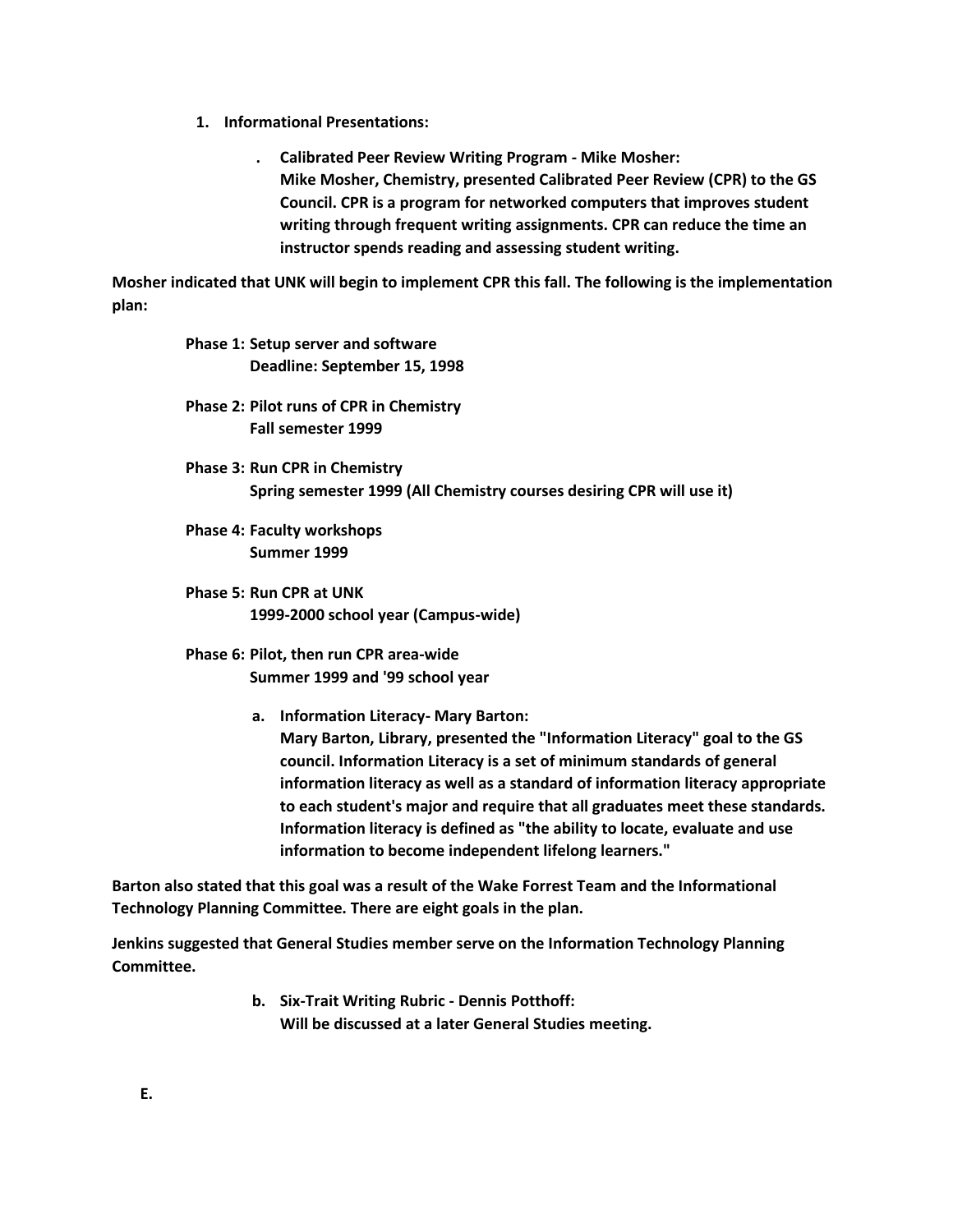- **1. Informational Presentations:** 
	- **. Calibrated Peer Review Writing Program - Mike Mosher: Mike Mosher, Chemistry, presented Calibrated Peer Review (CPR) to the GS Council. CPR is a program for networked computers that improves student writing through frequent writing assignments. CPR can reduce the time an instructor spends reading and assessing student writing.**

**Mosher indicated that UNK will begin to implement CPR this fall. The following is the implementation plan:**

> **Phase 1: Setup server and software Deadline: September 15, 1998**

- **Phase 2: Pilot runs of CPR in Chemistry Fall semester 1999**
- **Phase 3: Run CPR in Chemistry Spring semester 1999 (All Chemistry courses desiring CPR will use it)**
- **Phase 4: Faculty workshops Summer 1999**
- **Phase 5: Run CPR at UNK 1999-2000 school year (Campus-wide)**
- **Phase 6: Pilot, then run CPR area-wide Summer 1999 and '99 school year**
	- **a. Information Literacy- Mary Barton:**

**Mary Barton, Library, presented the "Information Literacy" goal to the GS council. Information Literacy is a set of minimum standards of general information literacy as well as a standard of information literacy appropriate to each student's major and require that all graduates meet these standards. Information literacy is defined as "the ability to locate, evaluate and use information to become independent lifelong learners."** 

**Barton also stated that this goal was a result of the Wake Forrest Team and the Informational Technology Planning Committee. There are eight goals in the plan.**

**Jenkins suggested that General Studies member serve on the Information Technology Planning Committee.**

> **b. Six-Trait Writing Rubric - Dennis Potthoff: Will be discussed at a later General Studies meeting.**